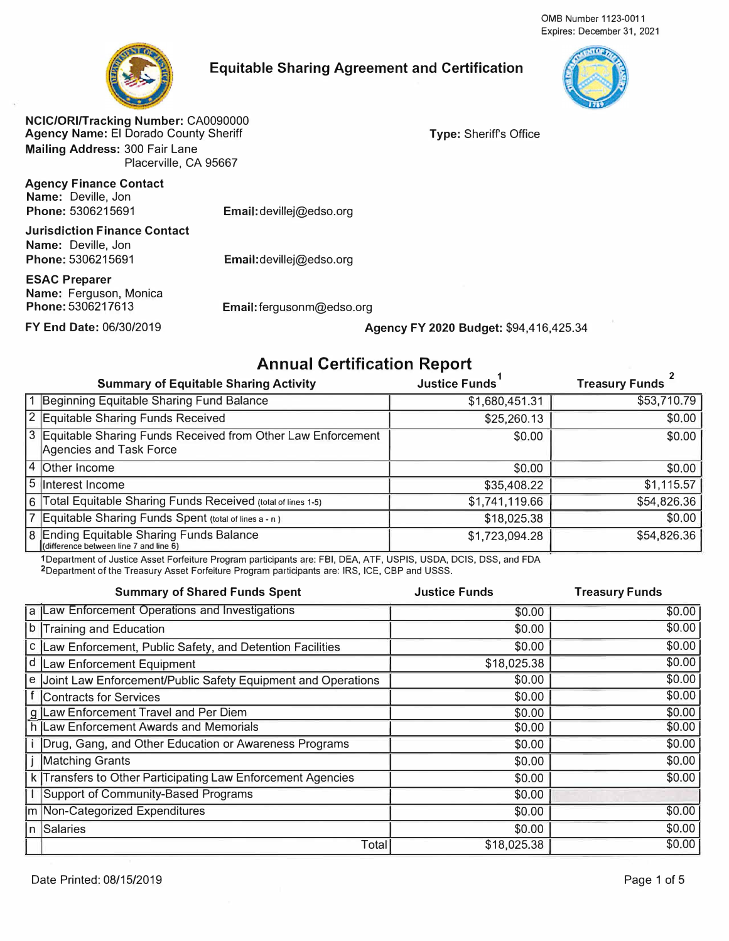

## **Equitable Sharing Agreement and Certification**



**NCIC/ORI/Tracking Number:** CA0090000 **Agency Name:** El Dorado County Sheriff **Mailing Address:** 300 Fair Lane Placerville, CA 95667

**Agency Finance Contact Name:** Deville, Jon **Phone:** 5306215691

**Email:** devillej@edso.org

**Jurisdiction Finance Contact Name:** Deville, Jon **Phone:5306215691** 

**ESAC Preparer Name:** Ferguson, Monica **Phone:5306217613** 

Email:devillej@edso.org

**Email:** fergusonm@edso.org

#### **FY End Date:** 06/30/2019 **Agency FY 2020 Budget:** \$94,416,425.34

**Type:** Sheriffs Office

# **Annual Certification Report**

| <b>Summary of Equitable Sharing Activity</b>                                             | <b>Justice Funds</b> | <b>Treasury Funds</b> |
|------------------------------------------------------------------------------------------|----------------------|-----------------------|
| 1 Beginning Equitable Sharing Fund Balance                                               | \$1,680,451.31       | \$53,710.79           |
| 2 Equitable Sharing Funds Received                                                       | \$25,260.13          | \$0.00                |
| 3 Equitable Sharing Funds Received from Other Law Enforcement<br>Agencies and Task Force | \$0.00               | \$0.00                |
| 4 Other Income                                                                           | \$0.00               | \$0.00                |
| 5 Interest Income                                                                        | \$35,408.22          | \$1,115.57            |
| 6 Total Equitable Sharing Funds Received (total of lines 1-5)                            | \$1,741,119.66       | \$54,826.36           |
| 7 Equitable Sharing Funds Spent (total of lines a - n)                                   | \$18,025.38          | \$0.00                |
| 8 Ending Equitable Sharing Funds Balance<br>(difference between line 7 and line 6)       | \$1,723,094.28       | \$54,826.36           |

1Department of Justice Asset Forfeiture Program participants are: FBI, DEA, ATF, USPIS, USDA, DCIS, DSS, and FDA 2Department of the Treasury Asset Forfeiture Program participants are: IRS, ICE, CBP and USSS.

| <b>Summary of Shared Funds Spent</b>                           | <b>Justice Funds</b> | <b>Treasury Funds</b> |
|----------------------------------------------------------------|----------------------|-----------------------|
| a  Law Enforcement Operations and Investigations               | \$0.00               | \$0.00                |
| b Training and Education                                       | \$0.00               | \$0.00                |
| c Law Enforcement, Public Safety, and Detention Facilities     | \$0.00               | \$0.00                |
| d Law Enforcement Equipment                                    | \$18,025.38          | \$0.00                |
| e Joint Law Enforcement/Public Safety Equipment and Operations | \$0.00               | \$0.00                |
| f Contracts for Services                                       | \$0.00               | \$0.00                |
| g Law Enforcement Travel and Per Diem                          | \$0.00               | \$0.00                |
| h Law Enforcement Awards and Memorials                         | \$0.00               | \$0.00                |
| Drug, Gang, and Other Education or Awareness Programs          | \$0.00               | \$0.00                |
| Matching Grants                                                | \$0.00               | \$0.00                |
| k Transfers to Other Participating Law Enforcement Agencies    | \$0.00               | \$0.00                |
| Support of Community-Based Programs                            | \$0.00               |                       |
| m Non-Categorized Expenditures                                 | \$0.00               | \$0.00                |
| n Salaries                                                     | \$0.00               | \$0.00                |
| Total                                                          | \$18,025.38          | \$0.00                |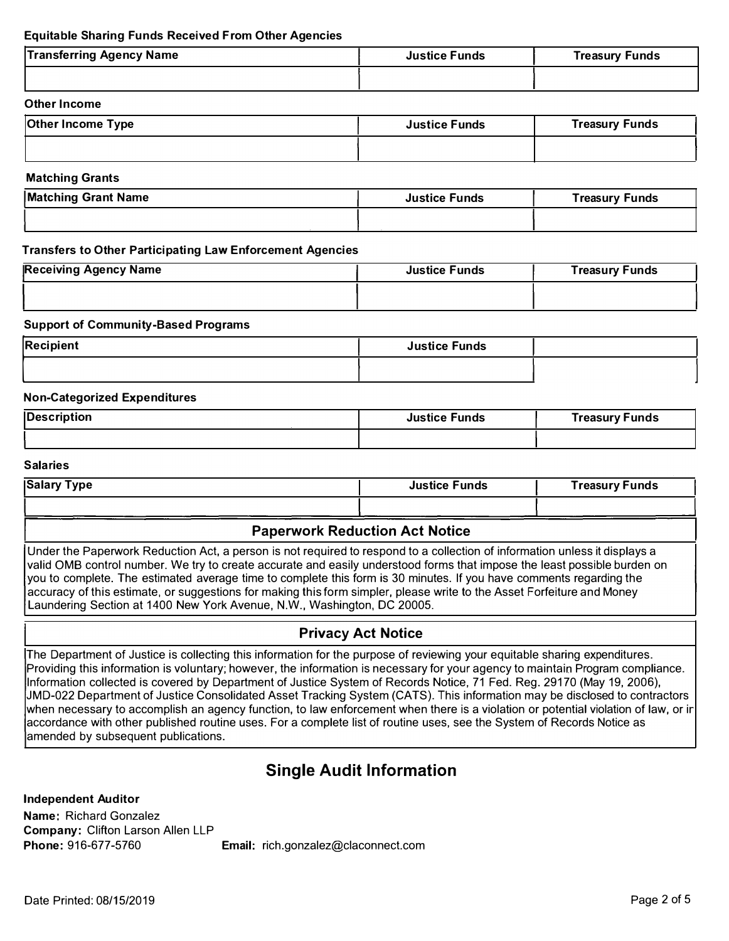#### **Equitable Sharing Funds Received From Other Agencies**

| <b>Transferring Agency Name</b> | <b>Justice Funds</b> | <b>Treasury Funds</b> |
|---------------------------------|----------------------|-----------------------|
|                                 |                      |                       |

#### **Other Income**

| <b>Other Income Type</b> | <b>Justice Funds</b> | <b>Treasury Funds</b> |
|--------------------------|----------------------|-----------------------|
|                          |                      |                       |

#### **Matching Grants**

| <b>Matching Grant Name</b> | <b>Justice Funds</b> | <b>Treasury Funds</b> |
|----------------------------|----------------------|-----------------------|
|                            |                      |                       |

#### **Transfers to Other Participating Law Enforcement Agencies**

| <b>Receiving Agency Name</b> | <b>Justice Funds</b> | <b>Treasury Funds</b> |
|------------------------------|----------------------|-----------------------|
|                              |                      |                       |

#### **Support of Community-Based Programs**

| Recipient | <b>Justice Funds</b> |  |
|-----------|----------------------|--|
|           |                      |  |

#### **Non-Categorized Expenditures**

| <b>Description</b> | <b>Justice Funds</b> | Treasury Funds |
|--------------------|----------------------|----------------|
|                    |                      |                |

#### **Salaries**

| <b>Salary Type</b> | <b>Justice Funds</b> | Treasury Funds |
|--------------------|----------------------|----------------|
|                    |                      |                |

#### **Paperwork Reduction Act Notice**

Under the Paperwork Reduction Act, a person is not required to respond to a collection of information unless it displays a valid 0MB control number. We try to create accurate and easily understood forms that impose the least possible burden on you to complete. The estimated average time to complete this form is 30 minutes. If you have comments regarding the accuracy of this estimate, or suggestions for making this form simpler, please write to the Asset Forfeiture and Money Laundering Section at 1400 New York Avenue, N.W., Washington, DC 20005.

### **Privacy Act Notice**

The Department of Justice is collecting this information for the purpose of reviewing your equitable sharing expenditures. Providing this information is voluntary; however, the information is necessary for your agency to maintain Program compliance. Information collected is covered by Department of Justice System of Records Notice, 71 Fed. Reg. 29170 (May 19, 2006), JMD-022 Department of Justice Consolidated Asset Tracking System (CATS). This information may be disclosed to contractors when necessary to accomplish an agency function, to law enforcement when there is a violation or potential violation of law, or ir accordance with other published routine uses. For a complete list of routine uses, see the System of Records Notice as amended by subsequent publications.

# **Single Audit Information**

**Independent Auditor** 

**Name:** Richard Gonzalez **Company:** Clifton Larson Allen LLP

**Email:** rich.gonzalez@claconnect.com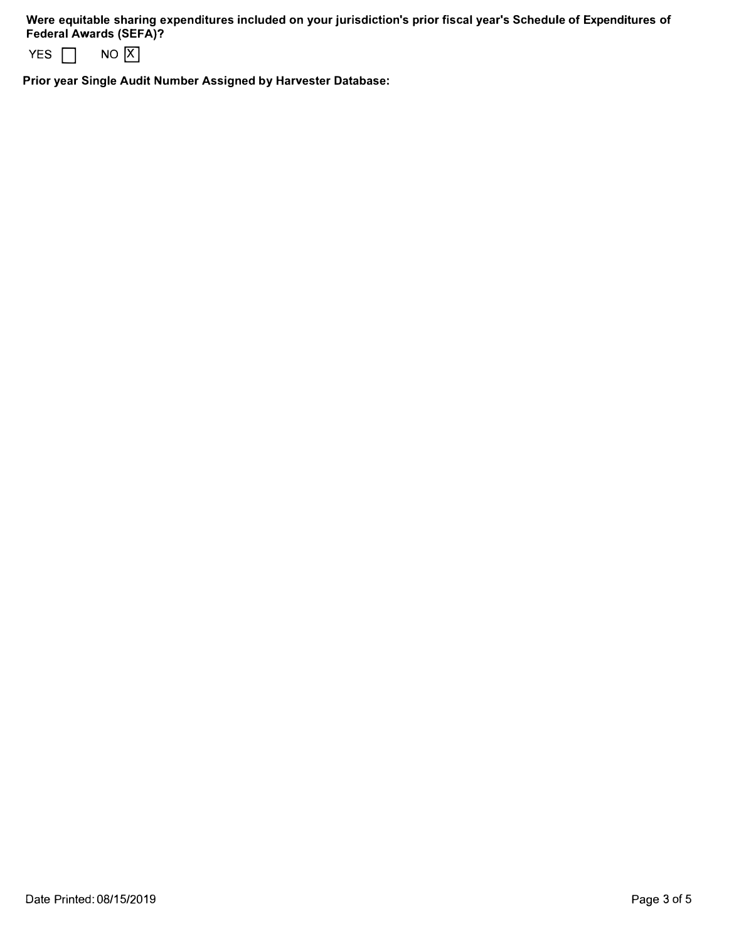**Were equitable sharing expenditures included on your jurisdiction's prior fiscal year's Schedule of Expenditures of Federal Awards (SEFA)?** 



**Prior year Single Audit Number Assigned by Harvester Database:**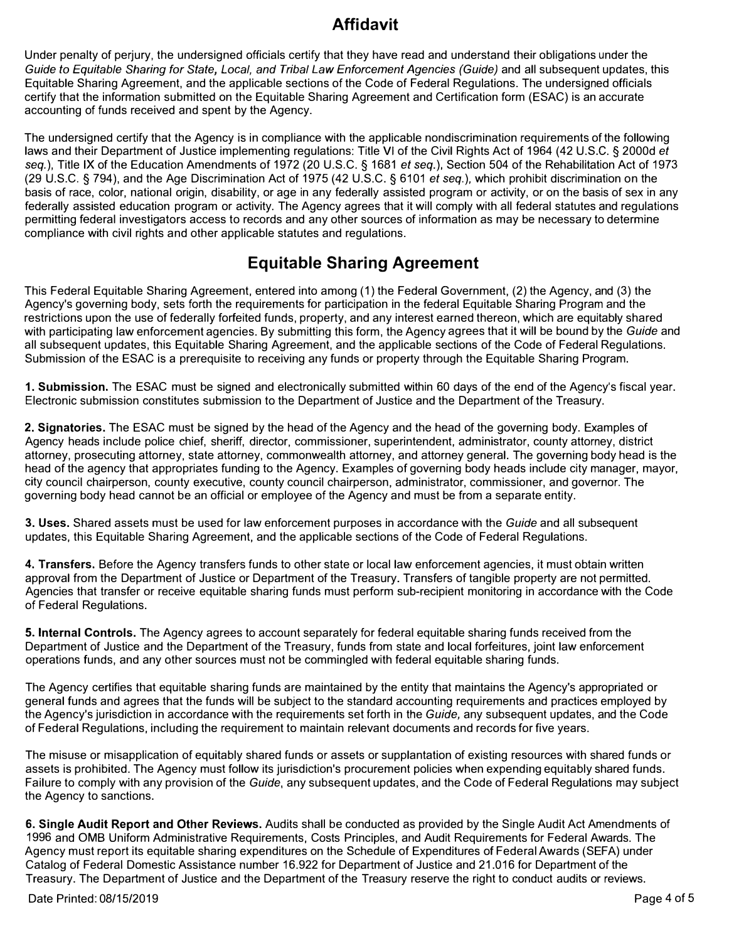# **Affidavit**

Under penalty of perjury, the undersigned officials certify that they have read and understand their obligations under the *Guide to Equitable Sharing for State, Local, and Tribal Law Enforcement Agencies (Guide)* and all subsequent updates, this Equitable Sharing Agreement, and the applicable sections of the Code of Federal Regulations. The undersigned officials certify that the information submitted on the Equitable Sharing Agreement and Certification form (ESAC) is an accurate accounting of funds received and spent by the Agency.

The undersigned certify that the Agency is in compliance with the applicable nondiscrimination requirements of the following laws and their Department of Justice implementing regulations: Title VI of the Civil Rights Act of 1964 (42 U.S.C. § 2000d *et seq.),* Title IX of the Education Amendments of 1972 (20 U.S.C. § 1681 *et seq.),* Section 504 of the Rehabilitation Act of 1973 (29 U.S.C. § 794), and the Age Discrimination Act of 1975 (42 U.S.C. § 6101 *et seq.),* which prohibit discrimination on the basis of race, color, national origin, disability, or age in any federally assisted program or activity, or on the basis of sex in any federally assisted education program or activity. The Agency agrees that it will comply with all federal statutes and regulations permitting federal investigators access to records and any other sources of information as may be necessary to determine compliance with civil rights and other applicable statutes and regulations.

# **Equitable Sharing Agreement**

This Federal Equitable Sharing Agreement, entered into among (1) the Federal Government, (2) the Agency, and (3) the Agency's governing body, sets forth the requirements for participation in the federal Equitable Sharing Program and the restrictions upon the use of federally forfeited funds, property, and any interest earned thereon, which are equitably shared with participating law enforcement agencies. By submitting this form, the Agency agrees that it will be bound by the *Guide* and all subsequent updates, this Equitable Sharing Agreement, and the applicable sections of the Code of Federal Regulations. Submission of the ESAC is a prerequisite to receiving any funds or property through the Equitable Sharing Program.

**1. Submission.** The ESAC must be signed and electronically submitted within 60 days of the end of the Agency's fiscal year. Electronic submission constitutes submission to the Department of Justice and the Department of the Treasury.

**2. Signatories.** The ESAC must be signed by the head of the Agency and the head of the governing body. Examples of Agency heads include police chief, sheriff, director, commissioner, superintendent, administrator, county attorney, district attorney, prosecuting attorney, state attorney, commonwealth attorney, and attorney general. The governing body head is the head of the agency that appropriates funding to the Agency. Examples of governing body heads include city manager, mayor, city council chairperson, county executive, county council chairperson, administrator, commissioner, and governor. The governing body head cannot be an official or employee of the Agency and must be from a separate entity.

**3. Uses.** Shared assets must be used for law enforcement purposes in accordance with the *Guide* and all subsequent updates, this Equitable Sharing Agreement, and the applicable sections of the Code of Federal Regulations.

**4. Transfers.** Before the Agency transfers funds to other state or local law enforcement agencies, it must obtain written approval from the Department of Justice or Department of the Treasury. Transfers of tangible property are not permitted. Agencies that transfer or receive equitable sharing funds must perform sub-recipient monitoring in accordance with the Code of Federal Regulations.

**5. Internal Controls.** The Agency agrees to account separately for federal equitable sharing funds received from the Department of Justice and the Department of the Treasury, funds from state and local forfeitures, joint law enforcement operations funds, and any other sources must not be commingled with federal equitable sharing funds.

The Agency certifies that equitable sharing funds are maintained by the entity that maintains the Agency's appropriated or general funds and agrees that the funds will be subject to the standard accounting requirements and practices employed by the Agency's jurisdiction in accordance with the requirements set forth in the *Guide,* any subsequent updates, and the Code of Federal Regulations, including the requirement to maintain relevant documents and records for five years.

The misuse or misapplication of equitably shared funds or assets or supplantation of existing resources with shared funds or assets is prohibited. The Agency must follow its jurisdiction's procurement policies when expending equitably shared funds. Failure to comply with any provision of the *Guide,* any subsequent updates, and the Code of Federal Regulations may subject the Agency to sanctions.

**6. Single Audit Report and Other Reviews.** Audits shall be conducted as provided by the Single Audit Act Amendments of 1996 and 0MB Uniform Administrative Requirements, Costs Principles, and Audit Requirements for Federal Awards. The Agency must report its equitable sharing expenditures on the Schedule of Expenditures of Federal Awards (SEFA) under Catalog of Federal Domestic Assistance number 16.922 for Department of Justice and 21.016 for Department of the Treasury. The Department of Justice and the Department of the Treasury reserve the right to conduct audits or reviews.